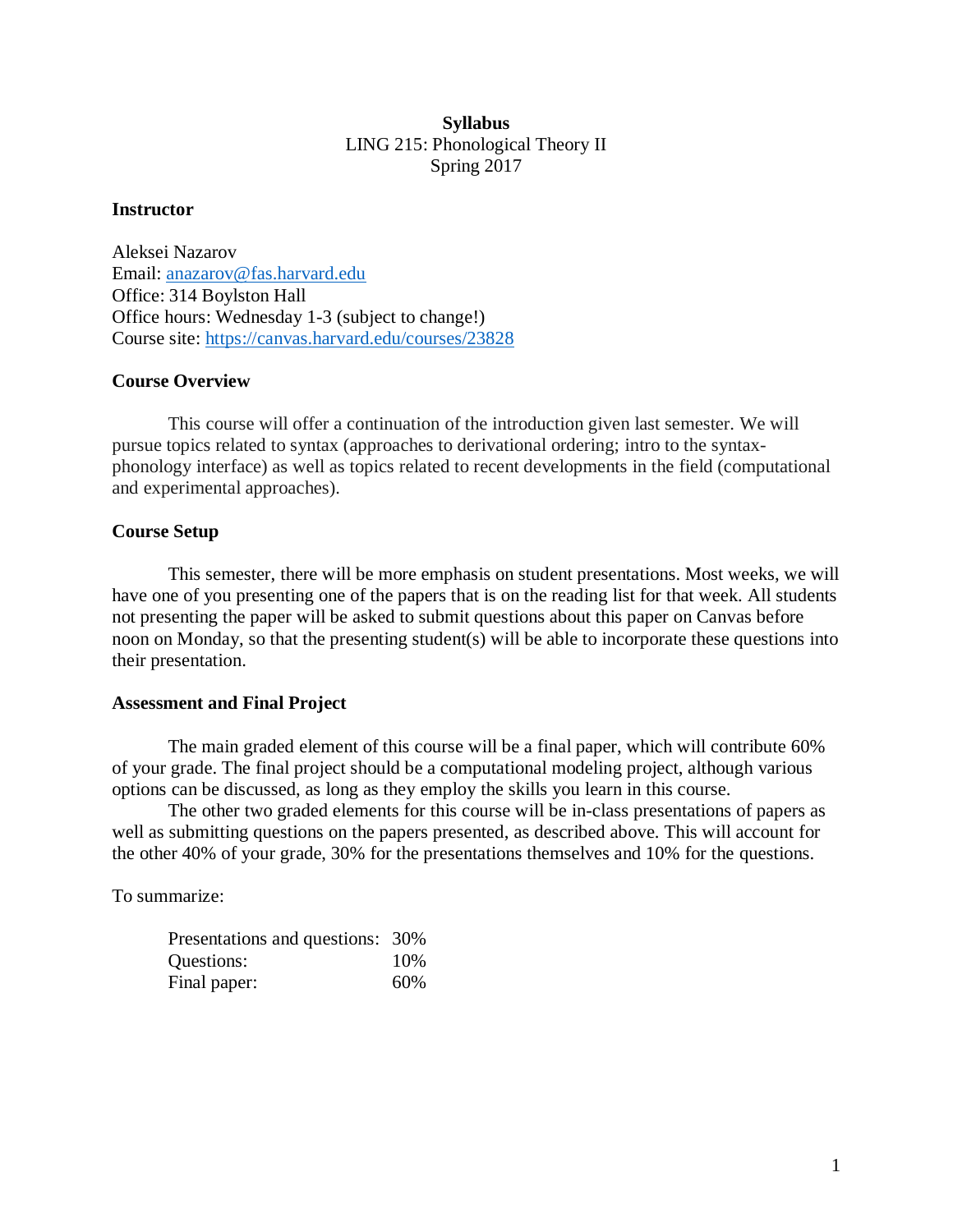## **Syllabus** LING 215: Phonological Theory II Spring 2017

#### **Instructor**

Aleksei Nazarov Email: [anazarov@fas.harvard.edu](mailto:anazarov@fas.harvard.edu) Office: 314 Boylston Hall Office hours: Wednesday 1-3 (subject to change!) Course site:<https://canvas.harvard.edu/courses/23828>

### **Course Overview**

This course will offer a continuation of the introduction given last semester. We will pursue topics related to syntax (approaches to derivational ordering; intro to the syntaxphonology interface) as well as topics related to recent developments in the field (computational and experimental approaches).

### **Course Setup**

This semester, there will be more emphasis on student presentations. Most weeks, we will have one of you presenting one of the papers that is on the reading list for that week. All students not presenting the paper will be asked to submit questions about this paper on Canvas before noon on Monday, so that the presenting student(s) will be able to incorporate these questions into their presentation.

#### **Assessment and Final Project**

The main graded element of this course will be a final paper, which will contribute 60% of your grade. The final project should be a computational modeling project, although various options can be discussed, as long as they employ the skills you learn in this course.

The other two graded elements for this course will be in-class presentations of papers as well as submitting questions on the papers presented, as described above. This will account for the other 40% of your grade, 30% for the presentations themselves and 10% for the questions.

To summarize:

| Presentations and questions: 30% |     |
|----------------------------------|-----|
| Questions:                       | 10% |
| Final paper:                     | 60% |